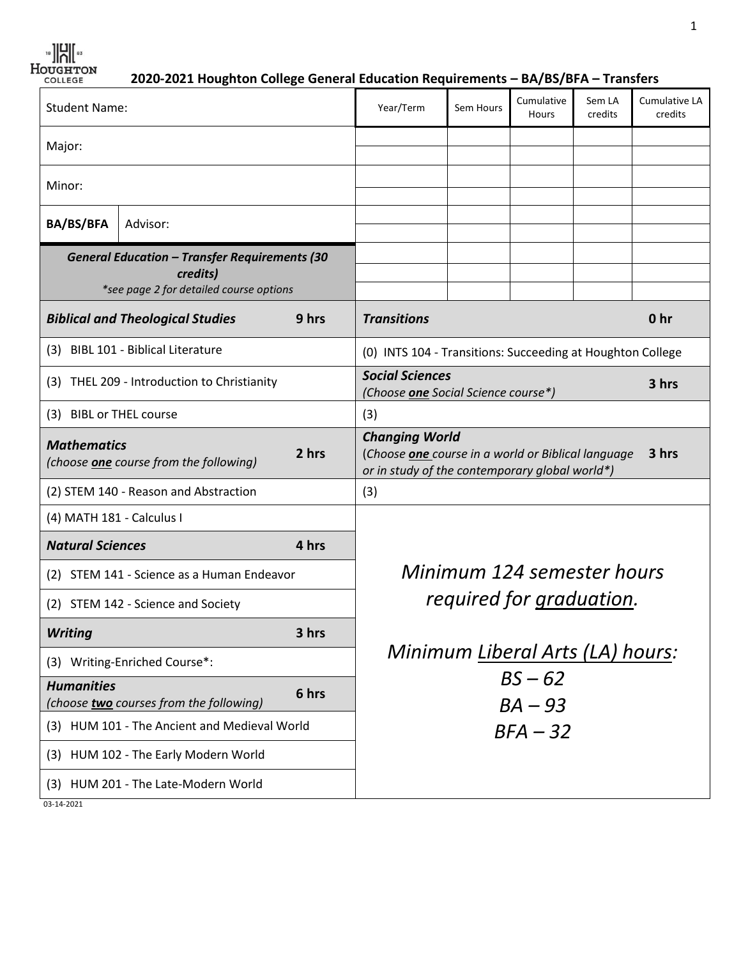$\frac{18}{18}$   $\frac{12}{10}$   $\frac{12}{10}$   $\frac{12}{10}$   $\frac{12}{10}$ 

 **2020-2021 Houghton College General Education Requirements – BA/BS/BFA – Transfers**

| <b>Student Name:</b>                                                                                        |                                         | Year/Term                                                                                                                              | Sem Hours                                                              | Cumulative<br>Hours | Sem LA<br>credits | Cumulative LA<br>credits |                 |
|-------------------------------------------------------------------------------------------------------------|-----------------------------------------|----------------------------------------------------------------------------------------------------------------------------------------|------------------------------------------------------------------------|---------------------|-------------------|--------------------------|-----------------|
| Major:                                                                                                      |                                         |                                                                                                                                        |                                                                        |                     |                   |                          |                 |
| Minor:                                                                                                      |                                         |                                                                                                                                        |                                                                        |                     |                   |                          |                 |
| <b>BA/BS/BFA</b>                                                                                            | Advisor:                                |                                                                                                                                        |                                                                        |                     |                   |                          |                 |
| <b>General Education - Transfer Requirements (30</b><br>credits)<br>*see page 2 for detailed course options |                                         |                                                                                                                                        |                                                                        |                     |                   |                          |                 |
|                                                                                                             | <b>Biblical and Theological Studies</b> | 9 hrs                                                                                                                                  | <b>Transitions</b>                                                     |                     |                   |                          | 0 <sub>hr</sub> |
| (3) BIBL 101 - Biblical Literature                                                                          |                                         | (0) INTS 104 - Transitions: Succeeding at Houghton College                                                                             |                                                                        |                     |                   |                          |                 |
| (3) THEL 209 - Introduction to Christianity                                                                 |                                         |                                                                                                                                        | <b>Social Sciences</b><br>3 hrs<br>(Choose one Social Science course*) |                     |                   |                          |                 |
| (3) BIBL or THEL course                                                                                     |                                         | (3)                                                                                                                                    |                                                                        |                     |                   |                          |                 |
| <b>Mathematics</b><br>2 hrs<br>(choose <b>one</b> course from the following)                                |                                         | <b>Changing World</b><br>3 hrs<br>(Choose one course in a world or Biblical language<br>or in study of the contemporary global world*) |                                                                        |                     |                   |                          |                 |
| (2) STEM 140 - Reason and Abstraction                                                                       |                                         |                                                                                                                                        | (3)                                                                    |                     |                   |                          |                 |
| (4) MATH 181 - Calculus I                                                                                   |                                         |                                                                                                                                        |                                                                        |                     |                   |                          |                 |
| <b>Natural Sciences</b>                                                                                     |                                         | 4 hrs                                                                                                                                  | Minimum 124 semester hours<br>required for graduation.                 |                     |                   |                          |                 |
| STEM 141 - Science as a Human Endeavor<br>(2)                                                               |                                         |                                                                                                                                        |                                                                        |                     |                   |                          |                 |
| (2) STEM 142 - Science and Society                                                                          |                                         |                                                                                                                                        |                                                                        |                     |                   |                          |                 |
| <b>Writing</b>                                                                                              |                                         | 3 hrs                                                                                                                                  |                                                                        |                     |                   |                          |                 |
| (3) Writing-Enriched Course*:                                                                               |                                         |                                                                                                                                        | Minimum Liberal Arts (LA) hours:                                       |                     |                   |                          |                 |
| <b>Humanities</b><br>(choose two courses from the following)                                                |                                         | 6 hrs                                                                                                                                  | $BS - 62$<br>$BA - 93$                                                 |                     |                   |                          |                 |
| (3) HUM 101 - The Ancient and Medieval World                                                                |                                         | $BFA - 32$                                                                                                                             |                                                                        |                     |                   |                          |                 |
| HUM 102 - The Early Modern World<br>(3)                                                                     |                                         |                                                                                                                                        |                                                                        |                     |                   |                          |                 |
| HUM 201 - The Late-Modern World<br>(3)                                                                      |                                         |                                                                                                                                        |                                                                        |                     |                   |                          |                 |
| 03-14-2021                                                                                                  |                                         |                                                                                                                                        |                                                                        |                     |                   |                          |                 |

1